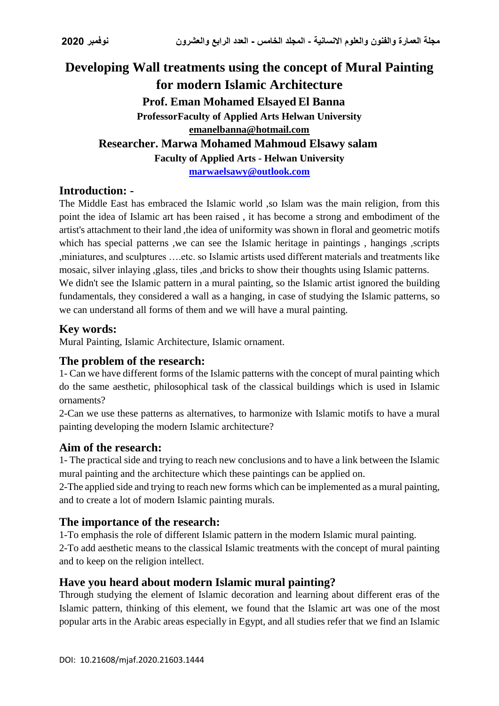# **Developing Wall treatments using the concept of Mural Painting for modern Islamic Architecture Prof. Eman Mohamed Elsayed El Banna ProfessorFaculty of Applied Arts Helwan University emanelbanna@hotmail.com Researcher. Marwa Mohamed Mahmoud Elsawy salam Faculty of Applied Arts - Helwan University [marwaelsawy@outlook.com](mailto:marwaelsawy@outlook.com)**

#### **Introduction: -**

The Middle East has embraced the Islamic world ,so Islam was the main religion, from this point the idea of Islamic art has been raised , it has become a strong and embodiment of the artist's attachment to their land ,the idea of uniformity was shown in floral and geometric motifs which has special patterns , we can see the Islamic heritage in paintings , hangings , scripts ,miniatures, and sculptures ….etc. so Islamic artists used different materials and treatments like mosaic, silver inlaying ,glass, tiles ,and bricks to show their thoughts using Islamic patterns. We didn't see the Islamic pattern in a mural painting, so the Islamic artist ignored the building fundamentals, they considered a wall as a hanging, in case of studying the Islamic patterns, so we can understand all forms of them and we will have a mural painting.

## **Key words:**

Mural Painting, Islamic Architecture, Islamic ornament.

### **The problem of the research:**

1- Can we have different forms of the Islamic patterns with the concept of mural painting which do the same aesthetic, philosophical task of the classical buildings which is used in Islamic ornaments?

2-Can we use these patterns as alternatives, to harmonize with Islamic motifs to have a mural painting developing the modern Islamic architecture?

### **Aim of the research:**

1- The practical side and trying to reach new conclusions and to have a link between the Islamic mural painting and the architecture which these paintings can be applied on.

2-The applied side and trying to reach new forms which can be implemented as a mural painting, and to create a lot of modern Islamic painting murals.

### **The importance of the research:**

1-To emphasis the role of different Islamic pattern in the modern Islamic mural painting. 2-To add aesthetic means to the classical Islamic treatments with the concept of mural painting and to keep on the religion intellect.

### **Have you heard about modern Islamic mural painting?**

Through studying the element of Islamic decoration and learning about different eras of the Islamic pattern, thinking of this element, we found that the Islamic art was one of the most popular arts in the Arabic areas especially in Egypt, and all studies refer that we find an Islamic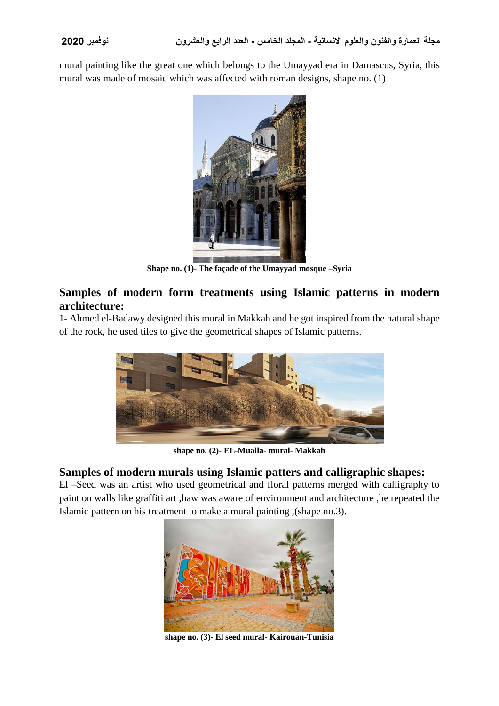mural painting like the great one which belongs to the Umayyad era in Damascus, Syria, this mural was made of mosaic which was affected with roman designs, shape no. (1)



**Shape no. (1)- The façade of the Umayyad mosque –Syria**

#### **Samples of modern form treatments using Islamic patterns in modern architecture:**

1- Ahmed el-Badawy designed this mural in Makkah and he got inspired from the natural shape of the rock, he used tiles to give the geometrical shapes of Islamic patterns.



**shape no. (2)- EL-Mualla- mural- Makkah**

#### **Samples of modern murals using Islamic patters and calligraphic shapes:**

El –Seed was an artist who used geometrical and floral patterns merged with calligraphy to paint on walls like graffiti art ,haw was aware of environment and architecture ,he repeated the Islamic pattern on his treatment to make a mural painting ,(shape no.3).



**shape no. (3)- El seed mural- Kairouan-Tunisia**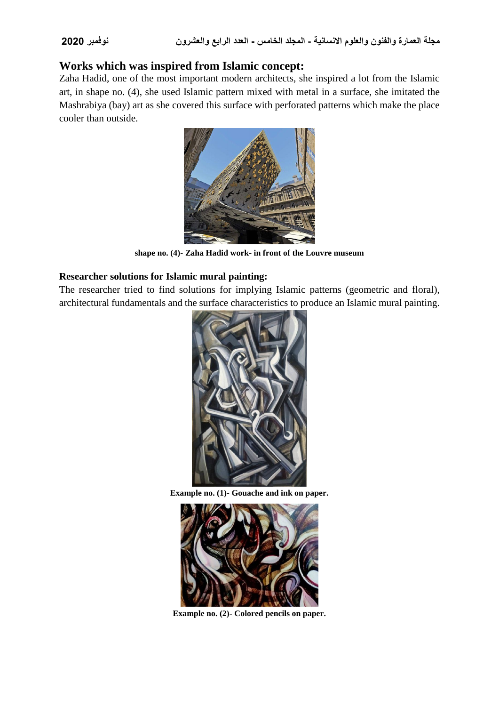#### **Works which was inspired from Islamic concept:**

Zaha Hadid, one of the most important modern architects, she inspired a lot from the Islamic art, in shape no. (4), she used Islamic pattern mixed with metal in a surface, she imitated the Mashrabiya (bay) art as she covered this surface with perforated patterns which make the place cooler than outside.



**shape no. (4)- Zaha Hadid work- in front of the Louvre museum**

#### **Researcher solutions for Islamic mural painting:**

The researcher tried to find solutions for implying Islamic patterns (geometric and floral), architectural fundamentals and the surface characteristics to produce an Islamic mural painting.



**Example no. (1)- Gouache and ink on paper.**



**Example no. (2)- Colored pencils on paper.**